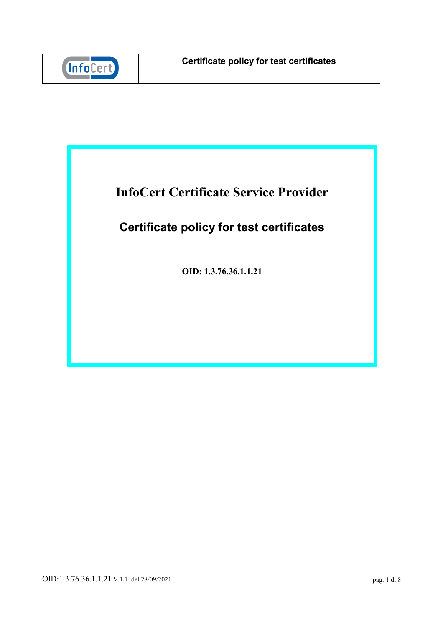

# **InfoCert Certificate Service Provider**

# **Certificate policy for test certificates**

**OID: 1.3.76.36.1.1.21**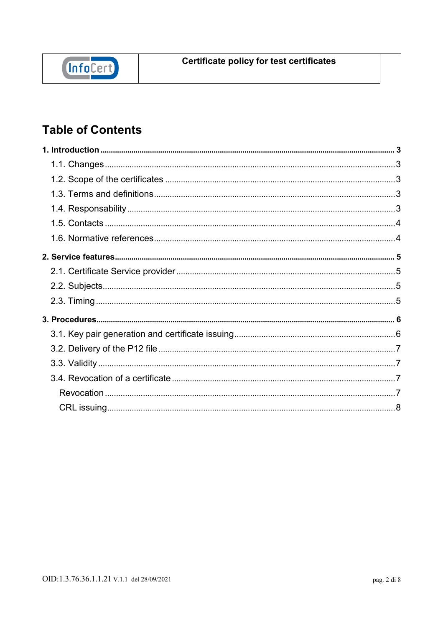

# **Table of Contents**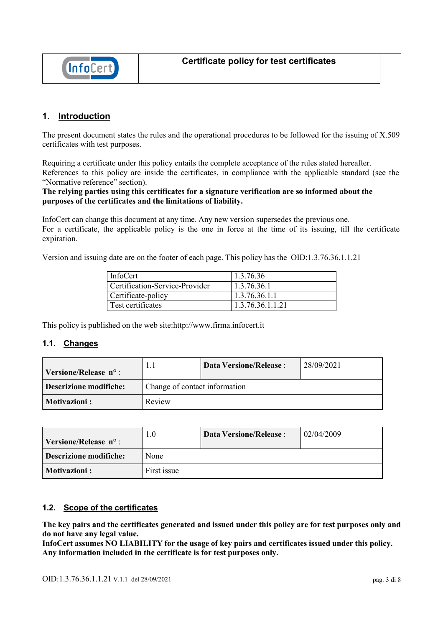

### <span id="page-2-0"></span>**1. Introduction**

The present document states the rules and the operational procedures to be followed for the issuing of X.509 certificates with test purposes.

Requiring a certificate under this policy entails the complete acceptance of the rules stated hereafter. References to this policy are inside the certificates, in compliance with the applicable standard (see the "Normative reference" section).

#### **The relying parties using this certificates for a signature verification are so informed about the purposes of the certificates and the limitations of liability.**

InfoCert can change this document at any time. Any new version supersedes the previous one. For a certificate, the applicable policy is the one in force at the time of its issuing, till the certificate expiration.

Version and issuing date are on the footer of each page. This policy has the OID:1.3.76.36.1.1.21

| InfoCert                       | 1.3.76.36        |
|--------------------------------|------------------|
| Certification-Service-Provider | 1.3.76.36.1      |
| Certificate-policy             | 1.3.76.36.1.1    |
| Test certificates              | 1.3.76.36.1.1.21 |

This policy is published on the web site[:http://www.firma.infocert.it](http://www.firma.infocert.it/)

#### <span id="page-2-1"></span>**1.1. Changes**

| Versione/Release n°:          | 1.1                           | <b>Data Versione/Release:</b> | 28/09/2021 |
|-------------------------------|-------------------------------|-------------------------------|------------|
| <b>Descrizione modifiche:</b> | Change of contact information |                               |            |
| <b>Motivazioni:</b>           | Review                        |                               |            |

| Versione/Release n°:          | 1.0         | <b>Data Versione/Release:</b> | 02/04/2009 |
|-------------------------------|-------------|-------------------------------|------------|
| <b>Descrizione modifiche:</b> | None        |                               |            |
| <b>Motivazioni:</b>           | First issue |                               |            |

#### <span id="page-2-2"></span>**1.2. Scope of the certificates**

**The key pairs and the certificates generated and issued under this policy are for test purposes only and do not have any legal value.**

**InfoCert assumes NO LIABILITY for the usage of key pairs and certificates issued under this policy. Any information included in the certificate is for test purposes only.**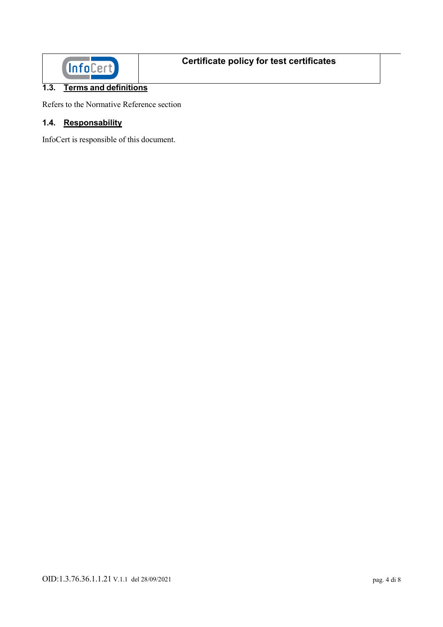

# <span id="page-3-0"></span>**1.3. Terms and definitions**

Refers to the Normative Reference section

# <span id="page-3-1"></span>**1.4. Responsability**

InfoCert is responsible of this document.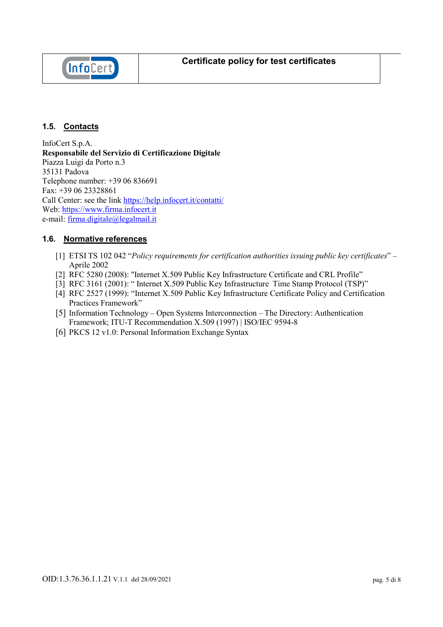

#### <span id="page-4-0"></span>**1.5. Contacts**

InfoCert S.p.A. **Responsabile del Servizio di Certificazione Digitale** Piazza Luigi da Porto n.3 35131 Padova Telephone number: +39 06 836691 Fax: +39 06 23328861 Call Center: see the link<https://help.infocert.it/contatti/> Web: [https://www.firma.infocert.it](https://www.firma.infocert.it/) e-mail: [firma.digitale@legalmail.it](mailto:firma.digitale@legalmail.it)

#### <span id="page-4-1"></span>**1.6. Normative references**

- [1] ETSI TS 102 042 "*Policy requirements for certification authorities issuing public key certificates*" Aprile 2002
- [2] RFC 5280 (2008): "Internet X.509 Public Key Infrastructure Certificate and CRL Profile"
- [3] RFC 3161 (2001): " Internet X.509 Public Key Infrastructure Time Stamp Protocol (TSP)"
- [4] RFC 2527 (1999): "Internet X.509 Public Key Infrastructure Certificate Policy and Certification Practices Framework"
- [5] Information Technology Open Systems Interconnection The Directory: Authentication Framework; ITU-T Recommendation X.509 (1997) | ISO/IEC 9594-8
- [6] PKCS 12 v1.0: Personal Information Exchange Syntax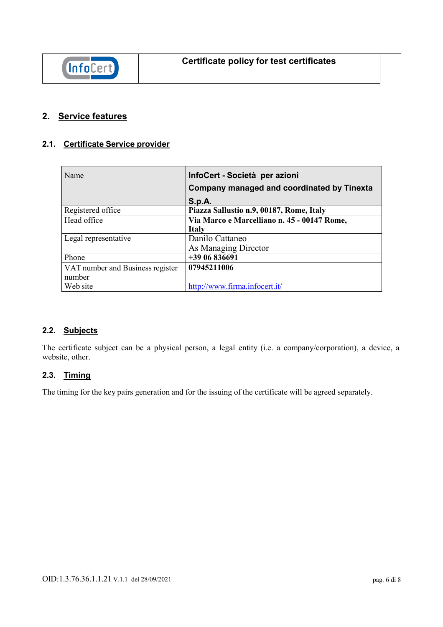

# <span id="page-5-0"></span>**2. Service features**

## <span id="page-5-1"></span>**2.1. Certificate Service provider**

| Name                             | InfoCert - Società per azioni               |
|----------------------------------|---------------------------------------------|
|                                  | Company managed and coordinated by Tinexta  |
|                                  | S.p.A.                                      |
| Registered office                | Piazza Sallustio n.9, 00187, Rome, Italy    |
| Head office                      | Via Marco e Marcelliano n. 45 - 00147 Rome, |
|                                  | <b>Italy</b>                                |
| Legal representative             | Danilo Cattaneo                             |
|                                  | As Managing Director                        |
| Phone                            | $+3906836691$                               |
| VAT number and Business register | 07945211006                                 |
| number                           |                                             |
| Web site                         | http://www.firma.infocert.it/               |

#### <span id="page-5-2"></span>**2.2. Subjects**

The certificate subject can be a physical person, a legal entity (i.e. a company/corporation), a device, a website, other.

### <span id="page-5-3"></span>**2.3. Timing**

The timing for the key pairs generation and for the issuing of the certificate will be agreed separately.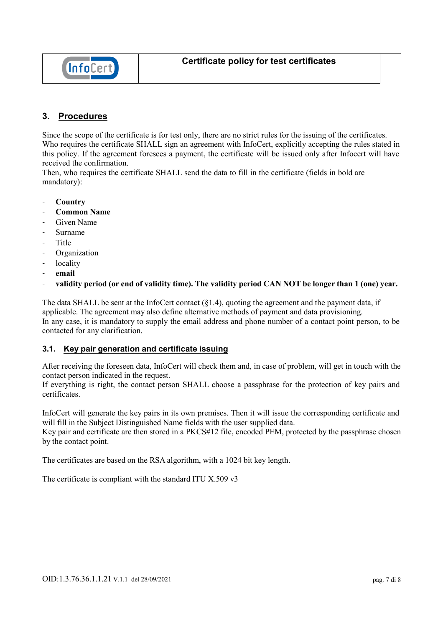

# <span id="page-6-0"></span>**3. Procedures**

Since the scope of the certificate is for test only, there are no strict rules for the issuing of the certificates. Who requires the certificate SHALL sign an agreement with InfoCert, explicitly accepting the rules stated in this policy. If the agreement foresees a payment, the certificate will be issued only after Infocert will have received the confirmation.

Then, who requires the certificate SHALL send the data to fill in the certificate (fields in bold are mandatory):

- **Country**
- **Common Name**
- Given Name
- Surname
- **Title**
- **Organization**
- locality
- **email**
- validity period (or end of validity time). The validity period CAN NOT be longer than 1 (one) year.

The data SHALL be sent at the InfoCert contact  $(\S1.4)$ , quoting the agreement and the payment data, if applicable. The agreement may also define alternative methods of payment and data provisioning. In any case, it is mandatory to supply the email address and phone number of a contact point person, to be contacted for any clarification.

#### <span id="page-6-1"></span>**3.1. Key pair generation and certificate issuing**

After receiving the foreseen data, InfoCert will check them and, in case of problem, will get in touch with the contact person indicated in the request.

If everything is right, the contact person SHALL choose a passphrase for the protection of key pairs and certificates.

InfoCert will generate the key pairs in its own premises. Then it will issue the corresponding certificate and will fill in the Subject Distinguished Name fields with the user supplied data.

Key pair and certificate are then stored in a PKCS#12 file, encoded PEM, protected by the passphrase chosen by the contact point.

The certificates are based on the RSA algorithm, with a 1024 bit key length.

The certificate is compliant with the standard ITU X.509 v3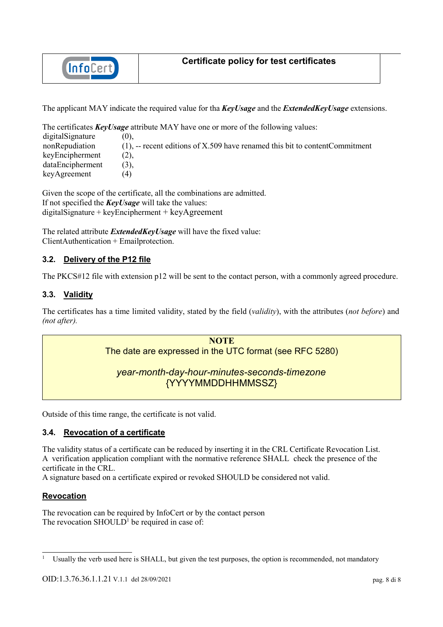

The applicant MAY indicate the required value for tha *KeyUsage* and the *ExtendedKeyUsage* extensions.

The certificates *KeyUsage* attribute MAY have one or more of the following values: digitalSignature  $(0)$ ,<br>nonRepudiation  $(1)$ ,  $(1)$ , -- recent editions of X.509 have renamed this bit to contentCommitment keyEncipherment (2), dataEncipherment (3), keyAgreement (4)

Given the scope of the certificate, all the combinations are admitted. If not specified the *KeyUsage* will take the values:  $digitalSignature + keyEncipherment + keyAgreement$ 

The related attribute *ExtendedKeyUsage* will have the fixed value: ClientAuthentication + Emailprotection.

### <span id="page-7-0"></span>**3.2. Delivery of the P12 file**

The PKCS#12 file with extension p12 will be sent to the contact person, with a commonly agreed procedure.

#### <span id="page-7-1"></span>**3.3. Validity**

The certificates has a time limited validity, stated by the field (*validity*), with the attributes (*not before*) and *(not after).*

> **NOTE** The date are expressed in the UTC format (see RFC 5280)

## *year-month-day-hour-minutes-seconds-timezone* {YYYYMMDDHHMMSSZ}

Outside of this time range, the certificate is not valid.

#### <span id="page-7-2"></span>**3.4. Revocation of a certificate**

The validity status of a certificate can be reduced by inserting it in the CRL Certificate Revocation List. A verification application compliant with the normative reference SHALL check the presence of the certificate in the CRL.

A signature based on a certificate expired or revoked SHOULD be considered not valid.

#### <span id="page-7-3"></span>**Revocation**

The revocation can be required by InfoCert or by the contact person The revocation  $SHOULD<sup>1</sup>$  be required in case of:

<span id="page-7-4"></span><sup>&</sup>lt;sup>1</sup> Usually the verb used here is SHALL, but given the test purposes, the option is recommended, not mandatory